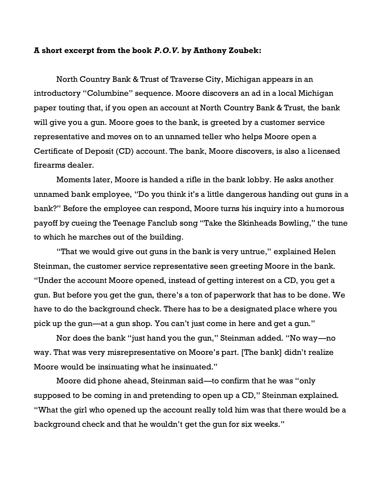## **A short excerpt from the book** *P.O.V.* **by Anthony Zoubek:**

North Country Bank & Trust of Traverse City, Michigan appears in an introductory "Columbine" sequence. Moore discovers an ad in a local Michigan paper touting that, if you open an account at North Country Bank & Trust, the bank will give you a gun. Moore goes to the bank, is greeted by a customer service representative and moves on to an unnamed teller who helps Moore open a Certificate of Deposit (CD) account. The bank, Moore discovers, is also a licensed firearms dealer.

Moments later, Moore is handed a rifle in the bank lobby. He asks another unnamed bank employee, "Do you think it's a little dangerous handing out guns in a bank?" Before the employee can respond, Moore turns his inquiry into a humorous payoff by cueing the Teenage Fanclub song "Take the Skinheads Bowling," the tune to which he marches out of the building.

"That we would give out guns in the bank is very untrue," explained Helen Steinman, the customer service representative seen greeting Moore in the bank. "Under the account Moore opened, instead of getting interest on a CD, you get a gun. But before you get the gun, there's a ton of paperwork that has to be done. We have to do the background check. There has to be a designated place where you pick up the gun—at a gun shop. You can't just come in here and get a gun."

Nor does the bank "just hand you the gun," Steinman added. "No way—no way. That was very misrepresentative on Moore's part. [The bank] didn't realize Moore would be insinuating what he insinuated."

Moore did phone ahead, Steinman said—to confirm that he was "only supposed to be coming in and pretending to open up a CD," Steinman explained. "What the girl who opened up the account really told him was that there would be a background check and that he wouldn't get the gun for six weeks."